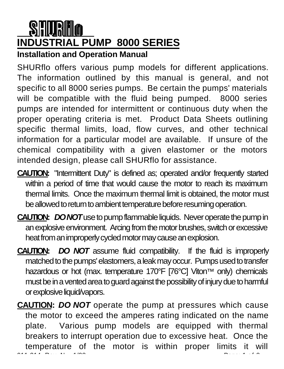# **INDUSTRIAL PUMP 8000 SERIES**

**Installation and Operation Manual**

SHURflo offers various pump models for different applications. The information outlined by this manual is general, and not specific to all 8000 series pumps. Be certain the pumps' materials will be compatible with the fluid being pumped. 8000 series pumps are intended for intermittent or continuous duty when the proper operating criteria is met. Product Data Sheets outlining specific thermal limits, load, flow curves, and other technical information for a particular model are available. If unsure of the chemical compatibility with a given elastomer or the motors intended design, please call SHURflo for assistance.

- **CAUTION:** "Intermittent Duty" is defined as; operated and/or frequently started within a period of time that would cause the motor to reach its maximum thermal limits. Once the maximum thermal limit is obtained, the motor must be allowed to return to ambient temperature before resuming operation.
- **CAUTION:** *DO NOT*use to pump flammable liquids. Never operate the pump in an explosive environment. Arcing from the motor brushes, switch or excessive heat from an improperly cycled motor may cause an explosion.
- **CAUTION:** *DO NOT* assume fluid compatibility. If the fluid is improperly matched to the pumps' elastomers, a leak may occur. Pumps used to transfer hazardous or hot (max. temperature 170°F [76°C] Viton™ only) chemicals must be in a vented area to guard against the possibility of injury due to harmful or explosive liquid/vapors.
- 911-314 Rev. N 1/98 Page: 1 of 8 Page: 1 of 8 Page: 1 of 8 Page: 1 of 8 Page: 1 of 8 Page: 1 of 8 Page: 1 of 8 **CAUTION:** *DO NOT* operate the pump at pressures which cause the motor to exceed the amperes rating indicated on the name plate. Various pump models are equipped with thermal breakers to interrupt operation due to excessive heat. Once the temperature of the motor is within proper limits it will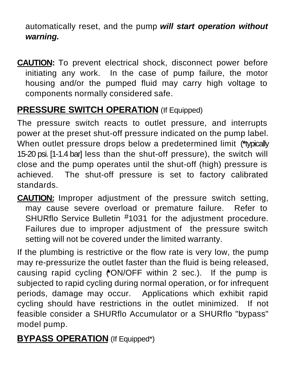automatically reset, and the pump *will start operation without warning.*

**CAUTION:** To prevent electrical shock, disconnect power before initiating any work. In the case of pump failure, the motor housing and/or the pumped fluid may carry high voltage to components normally considered safe.

## **PRESSURE SWITCH OPERATION** (If Equipped)

The pressure switch reacts to outlet pressure, and interrupts power at the preset shut-off pressure indicated on the pump label. When outlet pressure drops below a predetermined limit (**\***typically 15-20 psi. [1-1.4 bar] less than the shut-off pressure), the switch will close and the pump operates until the shut-off (high) pressure is achieved. The shut-off pressure is set to factory calibrated standards.

**CAUTION:** Improper adjustment of the pressure switch setting, may cause severe overload or premature failure. Refer to SHURflo Service Bulletin #1031 for the adjustment procedure. Failures due to improper adjustment of the pressure switch setting will not be covered under the limited warranty.

If the plumbing is restrictive or the flow rate is very low, the pump may re-pressurize the outlet faster than the fluid is being released, causing rapid cycling (**\***ON/OFF within 2 sec.). If the pump is subjected to rapid cycling during normal operation, or for infrequent periods, damage may occur. Applications which exhibit rapid cycling should have restrictions in the outlet minimized. If not feasible consider a SHURflo Accumulator or a SHURflo "bypass" model pump.

## **BYPASS OPERATION** (If Equipped\*)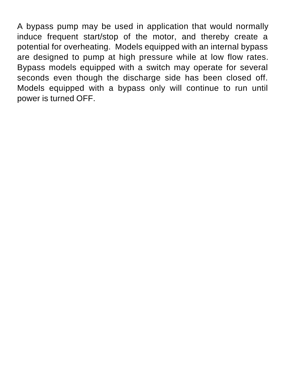A bypass pump may be used in application that would normally induce frequent start/stop of the motor, and thereby create a potential for overheating. Models equipped with an internal bypass are designed to pump at high pressure while at low flow rates. Bypass models equipped with a switch may operate for several seconds even though the discharge side has been closed off. Models equipped with a bypass only will continue to run until power is turned OFF.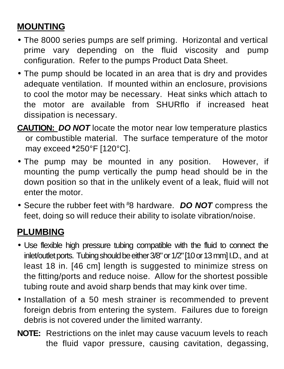# **MOUNTING**

- The 8000 series pumps are self priming. Horizontal and vertical prime vary depending on the fluid viscosity and pump configuration. Refer to the pumps Product Data Sheet.
- The pump should be located in an area that is dry and provides adequate ventilation. If mounted within an enclosure, provisions to cool the motor may be necessary. Heat sinks which attach to the motor are available from SHURflo if increased heat dissipation is necessary.
- **CAUTION:** *DO NOT* locate the motor near low temperature plastics or combustible material. The surface temperature of the motor may exceed **\***250°F [120°C].
- The pump may be mounted in any position. However, if mounting the pump vertically the pump head should be in the down position so that in the unlikely event of a leak, fluid will not enter the motor.
- Secure the rubber feet with #8 hardware. *DO NOT* compress the feet, doing so will reduce their ability to isolate vibration/noise.

## **PLUMBING**

- Use flexible high pressure tubing compatible with the fluid to connect the inlet/outlet ports. Tubing should be either 3/8" or 1/2"[10 or 13 mm] I.D., and at least 18 in. [46 cm] length is suggested to minimize stress on the fitting/ports and reduce noise. Allow for the shortest possible tubing route and avoid sharp bends that may kink over time.
- Installation of a 50 mesh strainer is recommended to prevent foreign debris from entering the system. Failures due to foreign debris is not covered under the limited warranty.
- **NOTE:** Restrictions on the inlet may cause vacuum levels to reach the fluid vapor pressure, causing cavitation, degassing,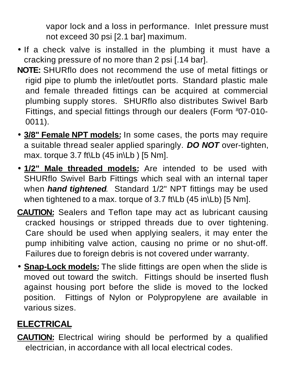vapor lock and a loss in performance. Inlet pressure must not exceed 30 psi [2.1 bar] maximum.

- If a check valve is installed in the plumbing it must have a cracking pressure of no more than 2 psi [.14 bar].
- **NOTE:** SHURflo does not recommend the use of metal fittings or rigid pipe to plumb the inlet/outlet ports. Standard plastic male and female threaded fittings can be acquired at commercial plumbing supply stores. SHURflo also distributes Swivel Barb Fittings, and special fittings through our dealers (Form #07-010- 0011).
- **3/8" Female NPT models:** In some cases, the ports may require a suitable thread sealer applied sparingly. *DO NOT* over-tighten, max. torque 3.7 ft\Lb (45 in\Lb ) [5 Nm].
- **1/2" Male threaded models:** Are intended to be used with SHURflo Swivel Barb Fittings which seal with an internal taper when *hand tightened*. Standard 1/2" NPT fittings may be used when tightened to a max. torque of 3.7 ft\Lb (45 in\Lb) [5 Nm].
- **CAUTION:** Sealers and Teflon tape may act as lubricant causing cracked housings or stripped threads due to over tightening. Care should be used when applying sealers, it may enter the pump inhibiting valve action, causing no prime or no shut-off. Failures due to foreign debris is not covered under warranty.
- **Snap-Lock models:** The slide fittings are open when the slide is moved out toward the switch. Fittings should be inserted flush against housing port before the slide is moved to the locked position. Fittings of Nylon or Polypropylene are available in various sizes.

## **ELECTRICAL**

**CAUTION:** Electrical wiring should be performed by a qualified electrician, in accordance with all local electrical codes.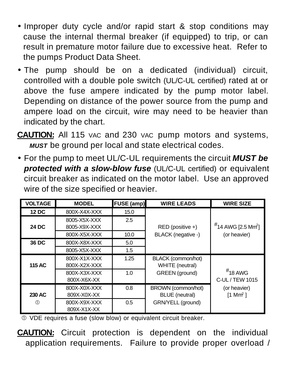- Improper duty cycle and/or rapid start & stop conditions may cause the internal thermal breaker (if equipped) to trip, or can result in premature motor failure due to excessive heat. Refer to the pumps Product Data Sheet.
- The pump should be on a dedicated (individual) circuit, controlled with a double pole switch (UL/C-UL certified) rated at or above the fuse ampere indicated by the pump motor label. Depending on distance of the power source from the pump and ampere load on the circuit, wire may need to be heavier than indicated by the chart.
- **CAUTION:** All 115 VAC and 230 VAC pump motors and systems, *MUST* be ground per local and state electrical codes.
- For the pump to meet UL/C-UL requirements the circuit *MUST be protected with a slow-blow fuse* (UL/C-UL certified) or equivalent circuit breaker as indicated on the motor label. Use an approved wire of the size specified or heavier.

| <b>VOLTAGE</b> | <b>MODEL</b>                 | FUSE (amp)    | <b>WIRE LEADS</b>                           | <b>WIRE SIZE</b>                      |
|----------------|------------------------------|---------------|---------------------------------------------|---------------------------------------|
| 12 DC          | 800X-X4X-XXX                 | 15.0          |                                             |                                       |
| 24 DC          | 8005-X5X-XXX<br>8005-X9X-XXX | 2.5           | RED (positive +)                            | #14 AWG [2.5 Mm <sup>2</sup> ]        |
|                | 800X-X5X-XXX                 | 10.0          | BLACK (negative -)                          | (or heavier)                          |
| 36 DC          | 800X-X8X-XXX                 | 5.0           |                                             |                                       |
|                | 8005-X5X-XXX                 | 1.5           |                                             |                                       |
| 115 AC         | 800X-X1X-XXX<br>800X-X2X-XXX | 1.25          | BLACK (common/hot)<br>WHITE (neutral)       |                                       |
|                | 800X-X3X-XXX<br>800X-X6X-XX  | 1.0           | GREEN (ground)                              | $#$ 18 AWG<br>C-UL / TEW 1015         |
| 230 AC         | 800X-X0X-XXX<br>809X-X0X-XX  | 0.8           | BROWN (common/hot)<br><b>BLUE</b> (neutral) | (or heavier)<br>$1$ Mm <sup>2</sup> 1 |
|                | 800X-X9X-XXX<br>809X-X1X-XX  | $0.5^{\circ}$ | GRN/YELL (ground)                           |                                       |

Å VDE requires a fuse (slow blow) or equivalent circuit breaker.

**CAUTION:** Circuit protection is dependent on the individual application requirements. Failure to provide proper overload /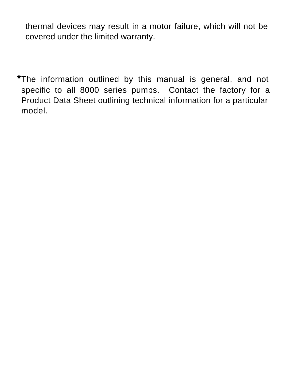thermal devices may result in a motor failure, which will not be covered under the limited warranty.

**\***The information outlined by this manual is general, and not specific to all 8000 series pumps. Contact the factory for a Product Data Sheet outlining technical information for a particular model.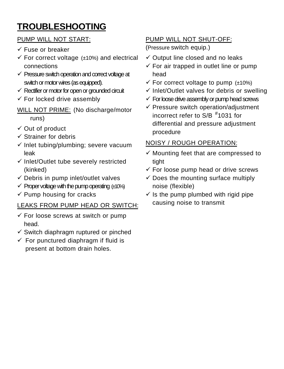# **TROUBLESHOOTING**

#### PUMP WILL NOT START:

- ¸ Fuse or breaker
- $\checkmark$  For correct voltage ( $\pm$ 10%) and electrical connections
- $\checkmark$  Pressure switch operation and correct voltage at switch or motor wires (as equipped).
- $\checkmark$  Rectifier or motor for open or grounded circuit
- $\checkmark$  For locked drive assembly
- WILL NOT PRIME: (No discharge/motor runs)
- $\checkmark$  Out of product
- $\checkmark$  Strainer for debris
- $\checkmark$  Inlet tubing/plumbing; severe vacuum leak
- $\checkmark$  Inlet/Outlet tube severely restricted (kinked)
- $\checkmark$  Debris in pump inlet/outlet valves
- $\checkmark$  Proper voltage with the pump operating  $(±10%)$
- $\checkmark$  Pump housing for cracks

#### LEAKS FROM PUMP HEAD OR SWITCH:

- $\checkmark$  For loose screws at switch or pump head.
- $\checkmark$  Switch diaphragm ruptured or pinched
- $\checkmark$  For punctured diaphragm if fluid is present at bottom drain holes.

### PUMP WILL NOT SHUT-OFF:

(Pressure switch equip.)

- $\checkmark$  Output line closed and no leaks
- $\checkmark$  For air trapped in outlet line or pump head
- $\checkmark$  For correct voltage to pump ( $\pm$ 10%)
- $\checkmark$  Inlet/Outlet valves for debris or swelling
- $\checkmark$  For loose drive assembly or pump head screws
- $\checkmark$  Pressure switch operation/adjustment incorrect refer to S/B # 1031 for differential and pressure adjustment procedure

#### NOISY / ROUGH OPERATION:

- $\checkmark$  Mounting feet that are compressed to tight
- $\checkmark$  For loose pump head or drive screws
- $\checkmark$  Does the mounting surface multiply noise (flexible)
- $\checkmark$  Is the pump plumbed with rigid pipe causing noise to transmit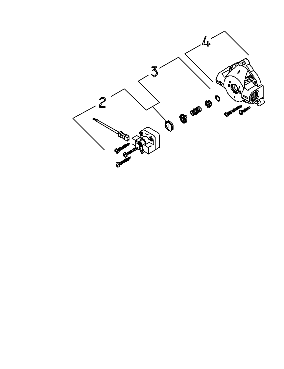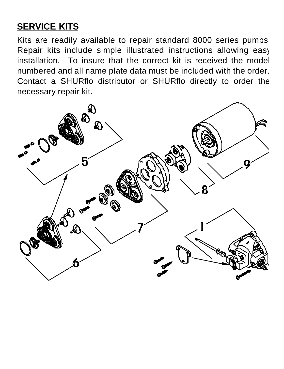# **SERVICE KITS**

Kits are readily available to repair standard 8000 series pumps. Repair kits include simple illustrated instructions allowing easy installation. To insure that the correct kit is received the model numbered and all name plate data must be included with the order. Contact a SHURflo distributor or SHURflo directly to order the necessary repair kit.

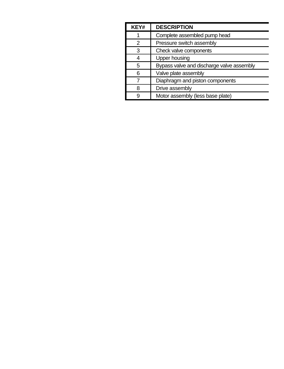| KEY# | <b>DESCRIPTION</b>                        |  |
|------|-------------------------------------------|--|
|      | Complete assembled pump head              |  |
| 2    | Pressure switch assembly                  |  |
| 3    | Check valve components                    |  |
| 4    | Upper housing                             |  |
| 5    | Bypass valve and discharge valve assembly |  |
| 6    | Valve plate assembly                      |  |
|      | Diaphragm and piston components           |  |
| ጸ    | Drive assembly                            |  |
| g    | Motor assembly (less base plate)          |  |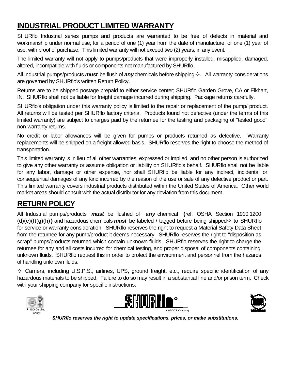## **INDUSTRIAL PRODUCT LIMITED WARRANTY**

SHURflo Industrial series pumps and products are warranted to be free of defects in material and workmanship under normal use, for a period of one (1) year from the date of manufacture, or one (1) year of use, with proof of purchase. This limited warranty will not exceed two (2) years, in any event.

The limited warranty will not apply to pumps/products that were improperly installed, misapplied, damaged, altered, incompatible with fluids or components not manufactured by SHURflo.

All Industrial pumps/products *must* be flush of *any* chemicals before shipping². All warranty considerations are governed by SHURflo's written Return Policy.

Returns are to be shipped postage prepaid to either service center; SHURflo Garden Grove, CA or Elkhart, IN. SHURflo shall not be liable for freight damage incurred during shipping. Package returns carefully.

SHURflo's obligation under this warranty policy is limited to the repair or replacement of the pump/ product. All returns will be tested per SHURflo factory criteria. Products found not defective (under the terms of this limited warranty) are subject to charges paid by the returnee for the testing and packaging of "tested good" non-warranty returns.

No credit or labor allowances will be given for pumps or products returned as defective. Warranty replacements will be shipped on a freight allowed basis. SHURflo reserves the right to choose the method of transportation.

This limited warranty is in lieu of all other warranties, expressed or implied, and no other person is authorized to give any other warranty or assume obligation or liability on SHURflo's behalf. SHURflo shall not be liable for any labor, damage or other expense, nor shall SHURflo be liable for any indirect, incidental or consequential damages of any kind incurred by the reason of the use or sale of any defective product or part. This limited warranty covers industrial products distributed within the United States of America. Other world market areas should consult with the actual distributor for any deviation from this document.

## **RETURN POLICY**

All Industrial pumps/products *must* be flushed of *any* chemical **(**ref. OSHA Section 1910.1200  $(d)(e)(f)(q)(h)$ **)** and hazardous chemicals **must** be labeled / tagged before being shipped $\diamond$  to SHURflo for service or warranty consideration. SHURflo reserves the right to request a Material Safety Data Sheet from the returnee for any pump/product it deems necessary. SHURflo reserves the right to "disposition as scrap" pumps/products returned which contain unknown fluids. SHURflo reserves the right to charge the returnee for any and all costs incurred for chemical testing, and proper disposal of components containing unknown fluids. SHURflo request this in order to protect the environment and personnel from the hazards of handling unknown fluids.

 $\diamond$  Carriers, including U.S.P.S., airlines, UPS, ground freight, etc., require specific identification of any hazardous materials to be shipped. Failure to do so may result in a substantial fine and/or prison term. Check with your shipping company for specific instructions.







*SHURflo reserves the right to update specifications, prices, or make substitutions.*